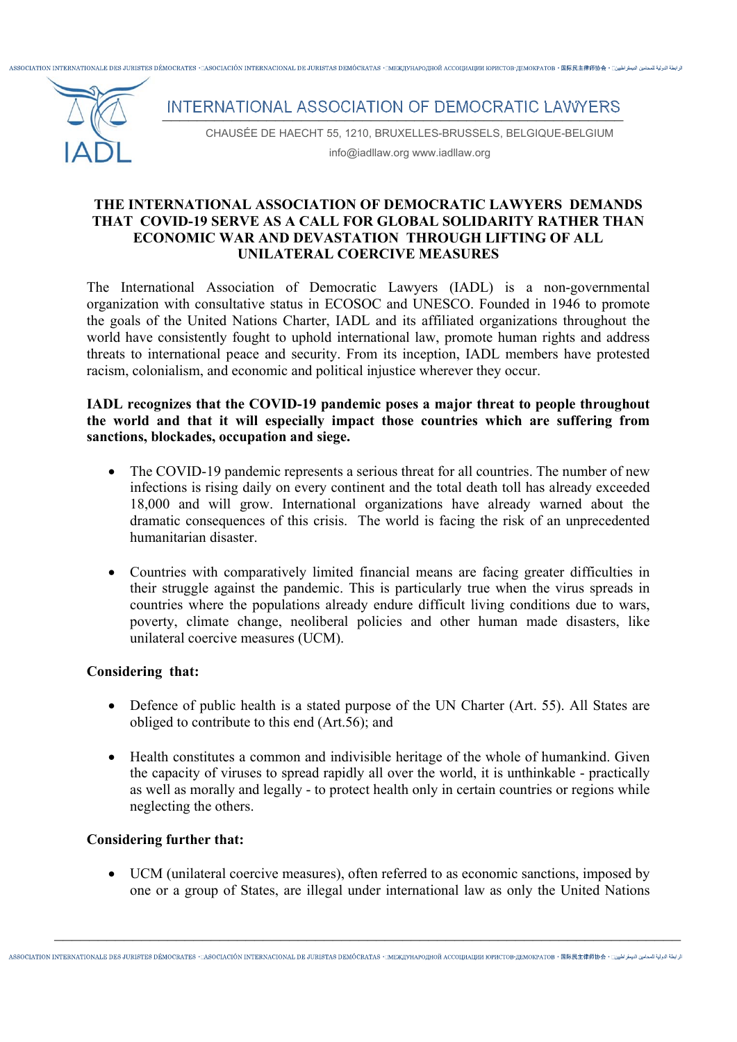ASSOCIATION INTERNATIONALE DES JURISTES DÉMOCRATES + aSOCIACIÓN INTERNACIONAL DE JURISTAS DEMÓCRATAS + MEXUVHAPOJHOЙ ACCOUNAUMU IOPUCTOR-JEMOKPATOR + 国际日本倫协会 + 口wild



## INTERNATIONAL ASSOCIATION OF DEMOCRATIC LAWYERS

CHAUSÉE DE HAECHT 55, 1210, BRUXELLES-BRUSSELS, BELGIQUE-BELGIUM info@iadllaw.org www.iadllaw.org

#### **THE INTERNATIONAL ASSOCIATION OF DEMOCRATIC LAWYERS DEMANDS THAT COVID-19 SERVE AS A CALL FOR GLOBAL SOLIDARITY RATHER THAN ECONOMIC WAR AND DEVASTATION THROUGH LIFTING OF ALL UNILATERAL COERCIVE MEASURES**

The International Association of Democratic Lawyers (IADL) is a non-governmental organization with consultative status in ECOSOC and UNESCO. Founded in 1946 to promote the goals of the United Nations Charter, IADL and its affiliated organizations throughout the world have consistently fought to uphold international law, promote human rights and address threats to international peace and security. From its inception, IADL members have protested racism, colonialism, and economic and political injustice wherever they occur.

## **ΙADL recognizes that the COVID-19 pandemic poses a major threat to people throughout the world and that it will especially impact those countries which are suffering from sanctions, blockades, occupation and siege.**

- The COVID-19 pandemic represents a serious threat for all countries. The number of new infections is rising daily on every continent and the total death toll has already exceeded 18,000 and will grow. International organizations have already warned about the dramatic consequences of this crisis. The world is facing the risk of an unprecedented humanitarian disaster.
- Countries with comparatively limited financial means are facing greater difficulties in their struggle against the pandemic. This is particularly true when the virus spreads in countries where the populations already endure difficult living conditions due to wars, poverty, climate change, neoliberal policies and other human made disasters, like unilateral coercive measures (UCM).

## **Considering that:**

- Defence of public health is a stated purpose of the UN Charter (Art. 55). All States are obliged to contribute to this end (Art.56); and
- Health constitutes a common and indivisible heritage of the whole of humankind. Given the capacity of viruses to spread rapidly all over the world, it is unthinkable - practically as well as morally and legally - to protect health only in certain countries or regions while neglecting the others.

### **Considering further that:**

 UCM (unilateral coercive measures), often referred to as economic sanctions, imposed by one or a group of States, are illegal under international law as only the United Nations

 $\_$  , and the contribution of the contribution of  $\mathcal{L}_1$  , and  $\mathcal{L}_2$  , and  $\mathcal{L}_3$  , and  $\mathcal{L}_4$  , and  $\mathcal{L}_5$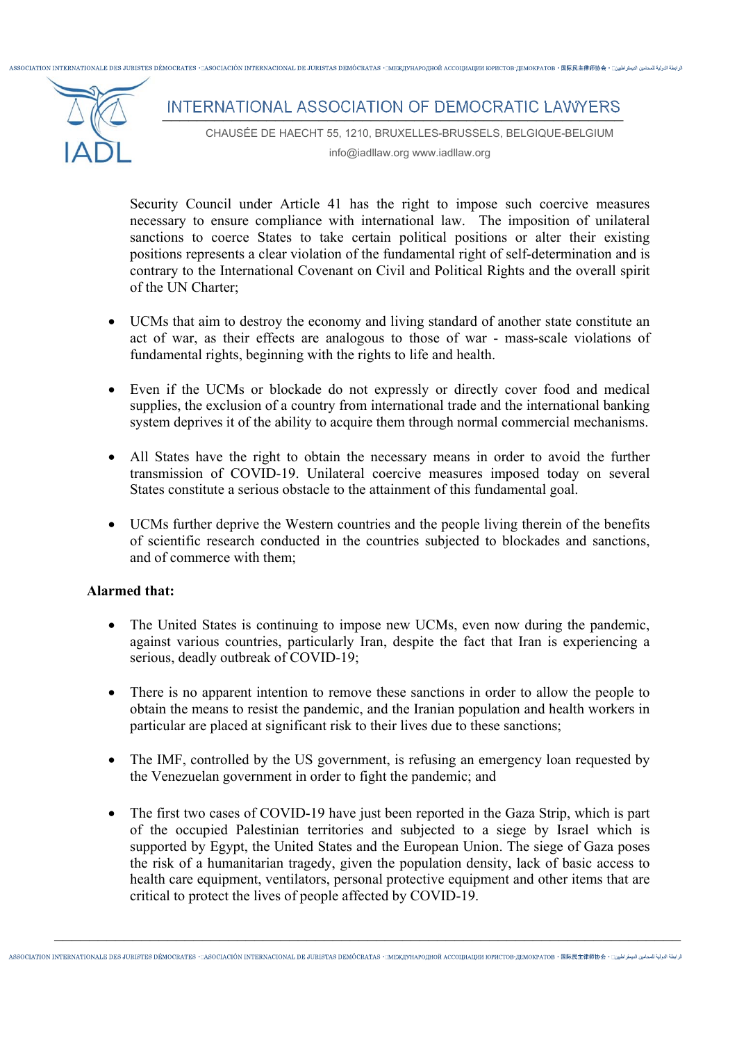ASSOCIATION INTERNATIONALE DES JURISTES DÉMOCRATES + DASOCIACIÓN INTERNACIONAL DE JURISTAS DEMÓCRATAS + DEXUVHAPOJHOЙ ACCOUNAUMI KOPICTOR-JEMOKPATOR + 国医足主律価协会 + ;



# INTERNATIONAL ASSOCIATION OF DEMOCRATIC LAWYERS

CHAUSÉE DE HAECHT 55, 1210, BRUXELLES-BRUSSELS, BELGIQUE-BELGIUM info@iadllaw.org www.iadllaw.org

Security Council under Article 41 has the right to impose such coercive measures necessary to ensure compliance with international law. The imposition of unilateral sanctions to coerce States to take certain political positions or alter their existing positions represents a clear violation of the fundamental right of self-determination and is contrary to the International Covenant on Civil and Political Rights and the overall spirit of the UN Charter;

- UCMs that aim to destroy the economy and living standard of another state constitute an act of war, as their effects are analogous to those of war - mass-scale violations of fundamental rights, beginning with the rights to life and health.
- Even if the UCMs or blockade do not expressly or directly cover food and medical supplies, the exclusion of a country from international trade and the international banking system deprives it of the ability to acquire them through normal commercial mechanisms.
- All States have the right to obtain the necessary means in order to avoid the further transmission of COVID-19. Unilateral coercive measures imposed today on several States constitute a serious obstacle to the attainment of this fundamental goal.
- UCMs further deprive the Western countries and the people living therein of the benefits of scientific research conducted in the countries subjected to blockades and sanctions, and of commerce with them;

### **Alarmed that:**

- The United States is continuing to impose new UCMs, even now during the pandemic, against various countries, particularly Iran, despite the fact that Iran is experiencing a serious, deadly outbreak of COVID-19;
- There is no apparent intention to remove these sanctions in order to allow the people to obtain the means to resist the pandemic, and the Iranian population and health workers in particular are placed at significant risk to their lives due to these sanctions;
- The IMF, controlled by the US government, is refusing an emergency loan requested by the Venezuelan government in order to fight the pandemic; and
- The first two cases of COVID-19 have just been reported in the Gaza Strip, which is part of the occupied Palestinian territories and subjected to a siege by Israel which is supported by Egypt, the United States and the European Union. The siege of Gaza poses the risk of a humanitarian tragedy, given the population density, lack of basic access to health care equipment, ventilators, personal protective equipment and other items that are critical to protect the lives of people affected by COVID-19.

 $\_$  , and the contribution of the contribution of  $\mathcal{L}_1$  , and  $\mathcal{L}_2$  , and  $\mathcal{L}_3$  , and  $\mathcal{L}_4$  , and  $\mathcal{L}_5$